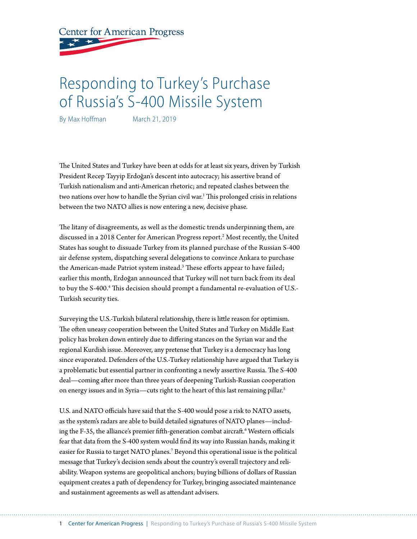**Center for American Progress** 

# Responding to Turkey's Purchase of Russia's S-400 Missile System

By Max Hoffman March 21, 2019

The United States and Turkey have been at odds for at least six years, driven by Turkish President Recep Tayyip Erdoğan's descent into autocracy; his assertive brand of Turkish nationalism and anti-American rhetoric; and repeated clashes between the two nations over how to handle the Syrian civil war.<sup>1</sup> This prolonged crisis in relations between the two NATO allies is now entering a new, decisive phase.

The litany of disagreements, as well as the domestic trends underpinning them, are discussed in a 2018 Center for American Progress report.2 Most recently, the United States has sought to dissuade Turkey from its planned purchase of the Russian S-400 air defense system, dispatching several delegations to convince Ankara to purchase the American-made Patriot system instead.3 These efforts appear to have failed; earlier this month, Erdoğan announced that Turkey will not turn back from its deal to buy the S-400.<sup>4</sup> This decision should prompt a fundamental re-evaluation of U.S.-Turkish security ties.

Surveying the U.S.-Turkish bilateral relationship, there is little reason for optimism. The often uneasy cooperation between the United States and Turkey on Middle East policy has broken down entirely due to differing stances on the Syrian war and the regional Kurdish issue. Moreover, any pretense that Turkey is a democracy has long since evaporated. Defenders of the U.S.-Turkey relationship have argued that Turkey is a problematic but essential partner in confronting a newly assertive Russia. The S-400 deal—coming after more than three years of deepening Turkish-Russian cooperation on energy issues and in Syria—cuts right to the heart of this last remaining pillar.<sup>5</sup>

U.S. and NATO officials have said that the S-400 would pose a risk to NATO assets, as the system's radars are able to build detailed signatures of NATO planes—including the F-35, the alliance's premier fifth-generation combat aircraft.6 Western officials fear that data from the S-400 system would find its way into Russian hands, making it easier for Russia to target NATO planes.<sup>7</sup> Beyond this operational issue is the political message that Turkey's decision sends about the country's overall trajectory and reliability. Weapon systems are geopolitical anchors; buying billions of dollars of Russian equipment creates a path of dependency for Turkey, bringing associated maintenance and sustainment agreements as well as attendant advisers.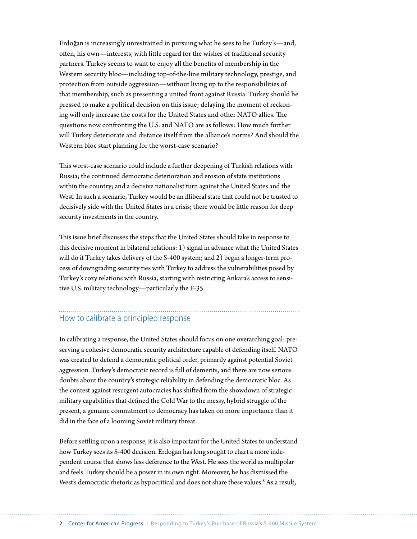Erdoğan is increasingly unrestrained in pursuing what he sees to be Turkey's—and, often, his own—interests, with little regard for the wishes of traditional security partners. Turkey seems to want to enjoy all the benefits of membership in the Western security bloc—including top-of-the-line military technology, prestige, and protection from outside aggression—without living up to the responsibilities of that membership, such as presenting a united front against Russia. Turkey should be pressed to make a political decision on this issue; delaying the moment of reckoning will only increase the costs for the United States and other NATO allies. The questions now confronting the U.S. and NATO are as follows: How much further will Turkey deteriorate and distance itself from the alliance's norms? And should the Western bloc start planning for the worst-case scenario?

This worst-case scenario could include a further deepening of Turkish relations with Russia; the continued democratic deterioration and erosion of state institutions within the country; and a decisive nationalist turn against the United States and the West. In such a scenario, Turkey would be an illiberal state that could not be trusted to decisively side with the United States in a crisis; there would be little reason for deep security investments in the country.

This issue brief discusses the steps that the United States should take in response to this decisive moment in bilateral relations: 1) signal in advance what the United States will do if Turkey takes delivery of the S-400 system; and 2) begin a longer-term process of downgrading security ties with Turkey to address the vulnerabilities posed by Turkey's cozy relations with Russia, starting with restricting Ankara's access to sensitive U.S. military technology—particularly the F-35.

# How to calibrate a principled response

In calibrating a response, the United States should focus on one overarching goal: preserving a cohesive democratic security architecture capable of defending itself. NATO was created to defend a democratic political order, primarily against potential Soviet aggression. Turkey's democratic record is full of demerits, and there are now serious doubts about the country's strategic reliability in defending the democratic bloc. As the contest against resurgent autocracies has shifted from the showdown of strategic military capabilities that defined the Cold War to the messy, hybrid struggle of the present, a genuine commitment to democracy has taken on more importance than it did in the face of a looming Soviet military threat.

Before settling upon a response, it is also important for the United States to understand how Turkey sees its S-400 decision. Erdoğan has long sought to chart a more independent course that shows less deference to the West. He sees the world as multipolar and feels Turkey should be a power in its own right. Moreover, he has dismissed the West's democratic rhetoric as hypocritical and does not share these values.<sup>8</sup> As a result,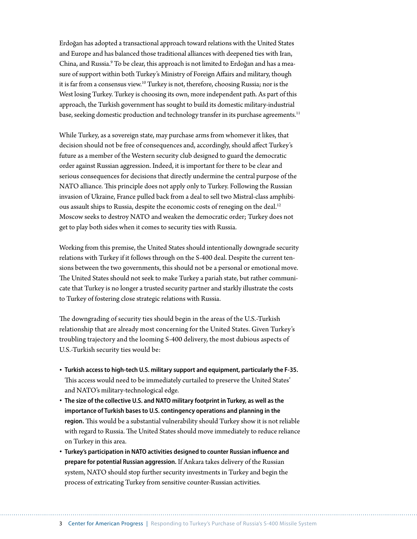Erdoğan has adopted a transactional approach toward relations with the United States and Europe and has balanced those traditional alliances with deepened ties with Iran, China, and Russia.<sup>9</sup> To be clear, this approach is not limited to Erdoğan and has a measure of support within both Turkey's Ministry of Foreign Affairs and military, though it is far from a consensus view.10 Turkey is not, therefore, choosing Russia; nor is the West losing Turkey. Turkey is choosing its own, more independent path. As part of this approach, the Turkish government has sought to build its domestic military-industrial base, seeking domestic production and technology transfer in its purchase agreements.<sup>11</sup>

While Turkey, as a sovereign state, may purchase arms from whomever it likes, that decision should not be free of consequences and, accordingly, should affect Turkey's future as a member of the Western security club designed to guard the democratic order against Russian aggression. Indeed, it is important for there to be clear and serious consequences for decisions that directly undermine the central purpose of the NATO alliance. This principle does not apply only to Turkey. Following the Russian invasion of Ukraine, France pulled back from a deal to sell two Mistral-class amphibious assault ships to Russia, despite the economic costs of reneging on the deal.<sup>12</sup> Moscow seeks to destroy NATO and weaken the democratic order; Turkey does not get to play both sides when it comes to security ties with Russia.

Working from this premise, the United States should intentionally downgrade security relations with Turkey if it follows through on the S-400 deal. Despite the current tensions between the two governments, this should not be a personal or emotional move. The United States should not seek to make Turkey a pariah state, but rather communicate that Turkey is no longer a trusted security partner and starkly illustrate the costs to Turkey of fostering close strategic relations with Russia.

The downgrading of security ties should begin in the areas of the U.S.-Turkish relationship that are already most concerning for the United States. Given Turkey's troubling trajectory and the looming S-400 delivery, the most dubious aspects of U.S.-Turkish security ties would be:

- **Turkish access to high-tech U.S. military support and equipment, particularly the F-35.** This access would need to be immediately curtailed to preserve the United States' and NATO's military-technological edge.
- **The size of the collective U.S. and NATO military footprint in Turkey, as well as the importance of Turkish bases to U.S. contingency operations and planning in the region.** This would be a substantial vulnerability should Turkey show it is not reliable with regard to Russia. The United States should move immediately to reduce reliance on Turkey in this area.
- **Turkey's participation in NATO activities designed to counter Russian influence and prepare for potential Russian aggression.** If Ankara takes delivery of the Russian system, NATO should stop further security investments in Turkey and begin the process of extricating Turkey from sensitive counter-Russian activities.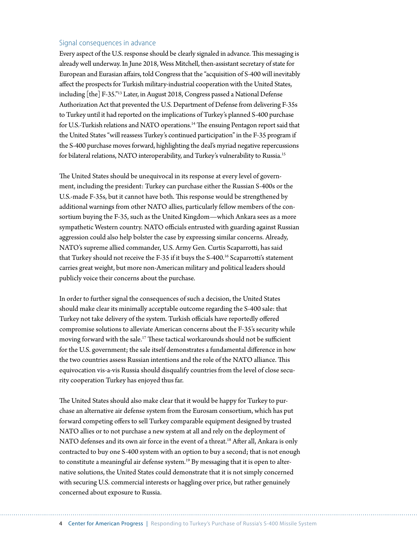#### Signal consequences in advance

Every aspect of the U.S. response should be clearly signaled in advance. This messaging is already well underway. In June 2018, Wess Mitchell, then-assistant secretary of state for European and Eurasian affairs, told Congress that the "acquisition of S-400 will inevitably affect the prospects for Turkish military-industrial cooperation with the United States, including [the] F-35."13 Later, in August 2018, Congress passed a National Defense Authorization Act that prevented the U.S. Department of Defense from delivering F-35s to Turkey until it had reported on the implications of Turkey's planned S-400 purchase for U.S.-Turkish relations and NATO operations.<sup>14</sup> The ensuing Pentagon report said that the United States "will reassess Turkey's continued participation" in the F-35 program if the S-400 purchase moves forward, highlighting the deal's myriad negative repercussions for bilateral relations, NATO interoperability, and Turkey's vulnerability to Russia.15

The United States should be unequivocal in its response at every level of government, including the president: Turkey can purchase either the Russian S-400s or the U.S.-made F-35s, but it cannot have both. This response would be strengthened by additional warnings from other NATO allies, particularly fellow members of the consortium buying the F-35, such as the United Kingdom—which Ankara sees as a more sympathetic Western country. NATO officials entrusted with guarding against Russian aggression could also help bolster the case by expressing similar concerns. Already, NATO's supreme allied commander, U.S. Army Gen. Curtis Scaparrotti, has said that Turkey should not receive the F-35 if it buys the S-400.<sup>16</sup> Scaparrotti's statement carries great weight, but more non-American military and political leaders should publicly voice their concerns about the purchase.

In order to further signal the consequences of such a decision, the United States should make clear its minimally acceptable outcome regarding the S-400 sale: that Turkey not take delivery of the system. Turkish officials have reportedly offered compromise solutions to alleviate American concerns about the F-35's security while moving forward with the sale.17 These tactical workarounds should not be sufficient for the U.S. government; the sale itself demonstrates a fundamental difference in how the two countries assess Russian intentions and the role of the NATO alliance. This equivocation vis-a-vis Russia should disqualify countries from the level of close security cooperation Turkey has enjoyed thus far.

The United States should also make clear that it would be happy for Turkey to purchase an alternative air defense system from the Eurosam consortium, which has put forward competing offers to sell Turkey comparable equipment designed by trusted NATO allies or to not purchase a new system at all and rely on the deployment of NATO defenses and its own air force in the event of a threat.<sup>18</sup> After all, Ankara is only contracted to buy one S-400 system with an option to buy a second; that is not enough to constitute a meaningful air defense system.<sup>19</sup> By messaging that it is open to alternative solutions, the United States could demonstrate that it is not simply concerned with securing U.S. commercial interests or haggling over price, but rather genuinely concerned about exposure to Russia.

4 Center for American Progress | Responding to Turkey's Purchase of Russia's S-400 Missile System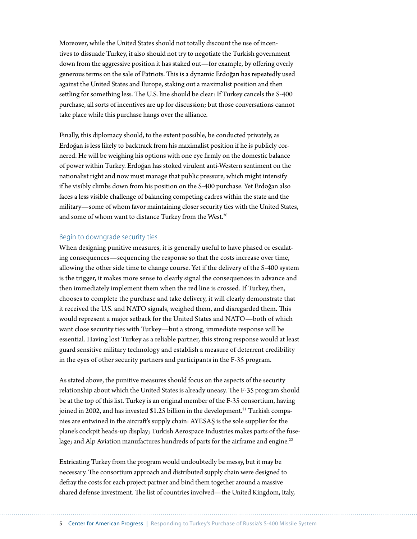Moreover, while the United States should not totally discount the use of incentives to dissuade Turkey, it also should not try to negotiate the Turkish government down from the aggressive position it has staked out—for example, by offering overly generous terms on the sale of Patriots. This is a dynamic Erdoğan has repeatedly used against the United States and Europe, staking out a maximalist position and then settling for something less. The U.S. line should be clear: If Turkey cancels the S-400 purchase, all sorts of incentives are up for discussion; but those conversations cannot take place while this purchase hangs over the alliance.

Finally, this diplomacy should, to the extent possible, be conducted privately, as Erdoğan is less likely to backtrack from his maximalist position if he is publicly cornered. He will be weighing his options with one eye firmly on the domestic balance of power within Turkey. Erdoğan has stoked virulent anti-Western sentiment on the nationalist right and now must manage that public pressure, which might intensify if he visibly climbs down from his position on the S-400 purchase. Yet Erdoğan also faces a less visible challenge of balancing competing cadres within the state and the military—some of whom favor maintaining closer security ties with the United States, and some of whom want to distance Turkey from the West.<sup>20</sup>

#### Begin to downgrade security ties

When designing punitive measures, it is generally useful to have phased or escalating consequences—sequencing the response so that the costs increase over time, allowing the other side time to change course. Yet if the delivery of the S-400 system is the trigger, it makes more sense to clearly signal the consequences in advance and then immediately implement them when the red line is crossed. If Turkey, then, chooses to complete the purchase and take delivery, it will clearly demonstrate that it received the U.S. and NATO signals, weighed them, and disregarded them. This would represent a major setback for the United States and NATO—both of which want close security ties with Turkey—but a strong, immediate response will be essential. Having lost Turkey as a reliable partner, this strong response would at least guard sensitive military technology and establish a measure of deterrent credibility in the eyes of other security partners and participants in the F-35 program.

As stated above, the punitive measures should focus on the aspects of the security relationship about which the United States is already uneasy. The F-35 program should be at the top of this list. Turkey is an original member of the F-35 consortium, having joined in 2002, and has invested \$1.25 billion in the development.<sup>21</sup> Turkish companies are entwined in the aircraft's supply chain: AYESAŞ is the sole supplier for the plane's cockpit heads-up display; Turkish Aerospace Industries makes parts of the fuselage; and Alp Aviation manufactures hundreds of parts for the airframe and engine.<sup>22</sup>

Extricating Turkey from the program would undoubtedly be messy, but it may be necessary. The consortium approach and distributed supply chain were designed to defray the costs for each project partner and bind them together around a massive shared defense investment. The list of countries involved—the United Kingdom, Italy,

5 Center for American Progress | Responding to Turkey's Purchase of Russia's S-400 Missile System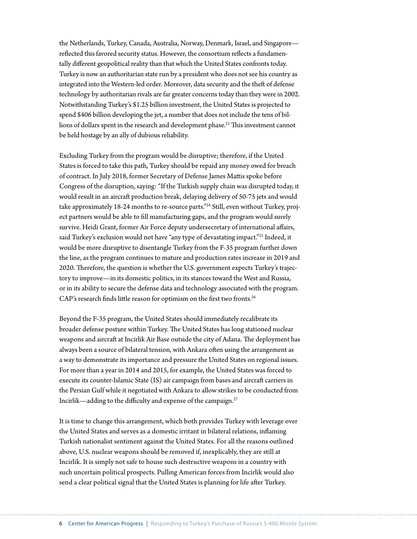the Netherlands, Turkey, Canada, Australia, Norway, Denmark, Israel, and Singapore reflected this favored security status. However, the consortium reflects a fundamentally different geopolitical reality than that which the United States confronts today. Turkey is now an authoritarian state run by a president who does not see his country as integrated into the Western-led order. Moreover, data security and the theft of defense technology by authoritarian rivals are far greater concerns today than they were in 2002. Notwithstanding Turkey's \$1.25 billion investment, the United States is projected to spend \$406 billion developing the jet, a number that does not include the tens of billions of dollars spent in the research and development phase.<sup>23</sup> This investment cannot be held hostage by an ally of dubious reliability.

Excluding Turkey from the program would be disruptive; therefore, if the United States is forced to take this path, Turkey should be repaid any money owed for breach of contract. In July 2018, former Secretary of Defense James Mattis spoke before Congress of the disruption, saying: "If the Turkish supply chain was disrupted today, it would result in an aircraft production break, delaying delivery of 50-75 jets and would take approximately 18-24 months to re-source parts."24 Still, even without Turkey, project partners would be able to fill manufacturing gaps, and the program would surely survive. Heidi Grant, former Air Force deputy undersecretary of international affairs, said Turkey's exclusion would not have "any type of devastating impact."<sup>25</sup> Indeed, it would be more disruptive to disentangle Turkey from the F-35 program further down the line, as the program continues to mature and production rates increase in 2019 and 2020. Therefore, the question is whether the U.S. government expects Turkey's trajectory to improve—in its domestic politics, in its stances toward the West and Russia, or in its ability to secure the defense data and technology associated with the program. CAP's research finds little reason for optimism on the first two fronts.<sup>26</sup>

Beyond the F-35 program, the United States should immediately recalibrate its broader defense posture within Turkey. The United States has long stationed nuclear weapons and aircraft at Incirlik Air Base outside the city of Adana. The deployment has always been a source of bilateral tension, with Ankara often using the arrangement as a way to demonstrate its importance and pressure the United States on regional issues. For more than a year in 2014 and 2015, for example, the United States was forced to execute its counter-Islamic State (IS) air campaign from bases and aircraft carriers in the Persian Gulf while it negotiated with Ankara to allow strikes to be conducted from Incirlik—adding to the difficulty and expense of the campaign.27

It is time to change this arrangement, which both provides Turkey with leverage over the United States and serves as a domestic irritant in bilateral relations, inflaming Turkish nationalist sentiment against the United States. For all the reasons outlined above, U.S. nuclear weapons should be removed if, inexplicably, they are still at Incirlik. It is simply not safe to house such destructive weapons in a country with such uncertain political prospects. Pulling American forces from Incirlik would also send a clear political signal that the United States is planning for life after Turkey.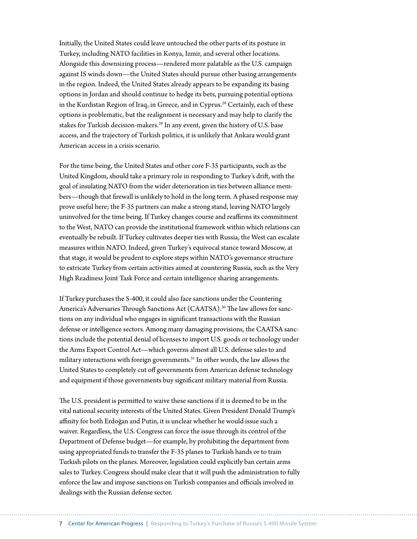Initially, the United States could leave untouched the other parts of its posture in Turkey, including NATO facilities in Konya, Izmir, and several other locations. Alongside this downsizing process—rendered more palatable as the U.S. campaign against IS winds down—the United States should pursue other basing arrangements in the region. Indeed, the United States already appears to be expanding its basing options in Jordan and should continue to hedge its bets, pursuing potential options in the Kurdistan Region of Iraq, in Greece, and in Cyprus.<sup>28</sup> Certainly, each of these options is problematic, but the realignment is necessary and may help to clarify the stakes for Turkish decision-makers.<sup>29</sup> In any event, given the history of U.S. base access, and the trajectory of Turkish politics, it is unlikely that Ankara would grant American access in a crisis scenario.

For the time being, the United States and other core F-35 participants, such as the United Kingdom, should take a primary role in responding to Turkey's drift, with the goal of insulating NATO from the wider deterioration in ties between alliance members—though that firewall is unlikely to hold in the long term. A phased response may prove useful here; the F-35 partners can make a strong stand, leaving NATO largely uninvolved for the time being. If Turkey changes course and reaffirms its commitment to the West, NATO can provide the institutional framework within which relations can eventually be rebuilt. If Turkey cultivates deeper ties with Russia, the West can escalate measures within NATO. Indeed, given Turkey's equivocal stance toward Moscow, at that stage, it would be prudent to explore steps within NATO's governance structure to extricate Turkey from certain activities aimed at countering Russia, such as the Very High Readiness Joint Task Force and certain intelligence sharing arrangements.

If Turkey purchases the S-400, it could also face sanctions under the Countering America's Adversaries Through Sanctions Act (CAATSA).<sup>30</sup> The law allows for sanctions on any individual who engages in significant transactions with the Russian defense or intelligence sectors. Among many damaging provisions, the CAATSA sanctions include the potential denial of licenses to import U.S. goods or technology under the Arms Export Control Act—which governs almost all U.S. defense sales to and military interactions with foreign governments.31 In other words, the law allows the United States to completely cut off governments from American defense technology and equipment if those governments buy significant military material from Russia.

The U.S. president is permitted to waive these sanctions if it is deemed to be in the vital national security interests of the United States. Given President Donald Trump's affinity for both Erdoğan and Putin, it is unclear whether he would issue such a waiver. Regardless, the U.S. Congress can force the issue through its control of the Department of Defense budget—for example, by prohibiting the department from using appropriated funds to transfer the F-35 planes to Turkish hands or to train Turkish pilots on the planes. Moreover, legislation could explicitly ban certain arms sales to Turkey. Congress should make clear that it will push the administration to fully enforce the law and impose sanctions on Turkish companies and officials involved in dealings with the Russian defense sector.

7 Center for American Progress | Responding to Turkey's Purchase of Russia's S-400 Missile System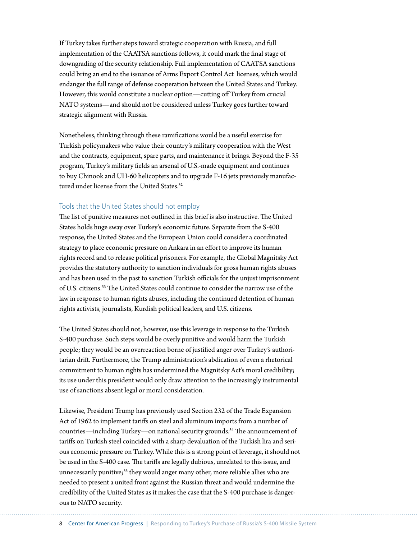If Turkey takes further steps toward strategic cooperation with Russia, and full implementation of the CAATSA sanctions follows, it could mark the final stage of downgrading of the security relationship. Full implementation of CAATSA sanctions could bring an end to the issuance of Arms Export Control Act licenses, which would endanger the full range of defense cooperation between the United States and Turkey. However, this would constitute a nuclear option—cutting off Turkey from crucial NATO systems—and should not be considered unless Turkey goes further toward strategic alignment with Russia.

Nonetheless, thinking through these ramifications would be a useful exercise for Turkish policymakers who value their country's military cooperation with the West and the contracts, equipment, spare parts, and maintenance it brings. Beyond the F-35 program, Turkey's military fields an arsenal of U.S.-made equipment and continues to buy Chinook and UH-60 helicopters and to upgrade F-16 jets previously manufactured under license from the United States.<sup>32</sup>

#### Tools that the United States should not employ

The list of punitive measures not outlined in this brief is also instructive. The United States holds huge sway over Turkey's economic future. Separate from the S-400 response, the United States and the European Union could consider a coordinated strategy to place economic pressure on Ankara in an effort to improve its human rights record and to release political prisoners. For example, the Global Magnitsky Act provides the statutory authority to sanction individuals for gross human rights abuses and has been used in the past to sanction Turkish officials for the unjust imprisonment of U.S. citizens.33 The United States could continue to consider the narrow use of the law in response to human rights abuses, including the continued detention of human rights activists, journalists, Kurdish political leaders, and U.S. citizens.

The United States should not, however, use this leverage in response to the Turkish S-400 purchase. Such steps would be overly punitive and would harm the Turkish people; they would be an overreaction borne of justified anger over Turkey's authoritarian drift. Furthermore, the Trump administration's abdication of even a rhetorical commitment to human rights has undermined the Magnitsky Act's moral credibility; its use under this president would only draw attention to the increasingly instrumental use of sanctions absent legal or moral consideration.

Likewise, President Trump has previously used Section 232 of the Trade Expansion Act of 1962 to implement tariffs on steel and aluminum imports from a number of countries—including Turkey—on national security grounds.34 The announcement of tariffs on Turkish steel coincided with a sharp devaluation of the Turkish lira and serious economic pressure on Turkey. While this is a strong point of leverage, it should not be used in the S-400 case. The tariffs are legally dubious, unrelated to this issue, and unnecessarily punitive;<sup>35</sup> they would anger many other, more reliable allies who are needed to present a united front against the Russian threat and would undermine the credibility of the United States as it makes the case that the S-400 purchase is dangerous to NATO security.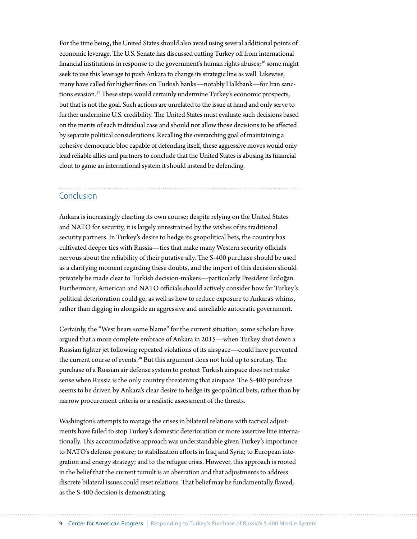For the time being, the United States should also avoid using several additional points of economic leverage. The U.S. Senate has discussed cutting Turkey off from international financial institutions in response to the government's human rights abuses;<sup>36</sup> some might seek to use this leverage to push Ankara to change its strategic line as well. Likewise, many have called for higher fines on Turkish banks—notably Halkbank—for Iran sanctions evasion.<sup>37</sup> These steps would certainly undermine Turkey's economic prospects, but that is not the goal. Such actions are unrelated to the issue at hand and only serve to further undermine U.S. credibility. The United States must evaluate such decisions based on the merits of each individual case and should not allow those decisions to be affected by separate political considerations. Recalling the overarching goal of maintaining a cohesive democratic bloc capable of defending itself, these aggressive moves would only lead reliable allies and partners to conclude that the United States is abusing its financial clout to game an international system it should instead be defending.

### Conclusion

Ankara is increasingly charting its own course; despite relying on the United States and NATO for security, it is largely unrestrained by the wishes of its traditional security partners. In Turkey's desire to hedge its geopolitical bets, the country has cultivated deeper ties with Russia—ties that make many Western security officials nervous about the reliability of their putative ally. The S-400 purchase should be used as a clarifying moment regarding these doubts, and the import of this decision should privately be made clear to Turkish decision-makers—particularly President Erdoğan. Furthermore, American and NATO officials should actively consider how far Turkey's political deterioration could go, as well as how to reduce exposure to Ankara's whims, rather than digging in alongside an aggressive and unreliable autocratic government.

Certainly, the "West bears some blame" for the current situation; some scholars have argued that a more complete embrace of Ankara in 2015—when Turkey shot down a Russian fighter jet following repeated violations of its airspace—could have prevented the current course of events.<sup>38</sup> But this argument does not hold up to scrutiny. The purchase of a Russian air defense system to protect Turkish airspace does not make sense when Russia is the only country threatening that airspace. The S-400 purchase seems to be driven by Ankara's clear desire to hedge its geopolitical bets, rather than by narrow procurement criteria or a realistic assessment of the threats.

Washington's attempts to manage the crises in bilateral relations with tactical adjustments have failed to stop Turkey's domestic deterioration or more assertive line internationally. This accommodative approach was understandable given Turkey's importance to NATO's defense posture; to stabilization efforts in Iraq and Syria; to European integration and energy strategy; and to the refugee crisis. However, this approach is rooted in the belief that the current tumult is an aberration and that adjustments to address discrete bilateral issues could reset relations. That belief may be fundamentally flawed, as the S-400 decision is demonstrating.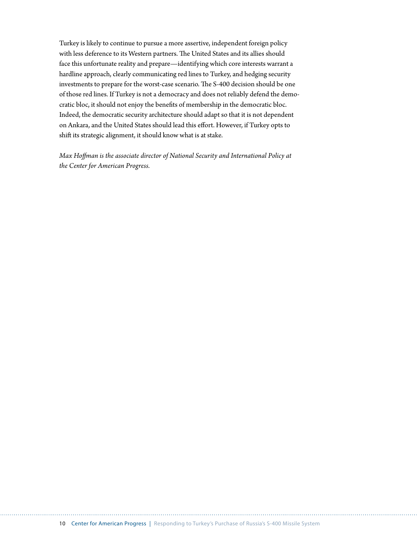Turkey is likely to continue to pursue a more assertive, independent foreign policy with less deference to its Western partners. The United States and its allies should face this unfortunate reality and prepare—identifying which core interests warrant a hardline approach, clearly communicating red lines to Turkey, and hedging security investments to prepare for the worst-case scenario. The S-400 decision should be one of those red lines. If Turkey is not a democracy and does not reliably defend the democratic bloc, it should not enjoy the benefits of membership in the democratic bloc. Indeed, the democratic security architecture should adapt so that it is not dependent on Ankara, and the United States should lead this effort. However, if Turkey opts to shift its strategic alignment, it should know what is at stake.

*Max Hoffman is the associate director of National Security and International Policy at the Center for American Progress.*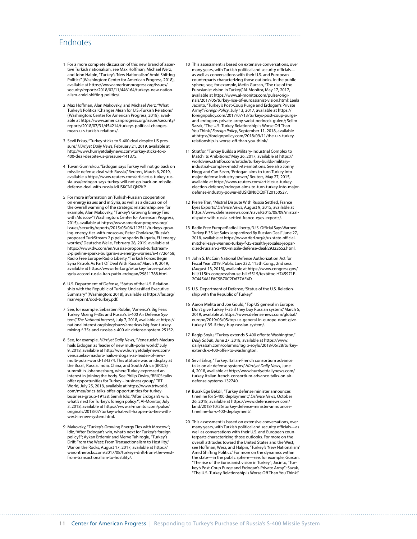## Endnotes

- 1 For a more complete discussion of this new brand of assertive Turkish nationalism, see Max Hoffman, Michael Werz, and John Halpin, "Turkey's 'New Nationalism' Amid Shifting Politics" (Washington: Center for American Progress, 2018), available at https://www.americanprogress.org/issues/ security/reports/2018/02/11/446164/turkeys-new-nationalism-amid-shifting-politics/.
- 2 Max Hoffman, Alan Makovsky, and Michael Werz, "What Turkey's Political Changes Mean for U.S.-Turkish Relations" (Washington: Center for American Progress, 2018), available at https://www.americanprogress.org/issues/security/ reports/2018/07/31/454214/turkeys-political-changesmean-u-s-turkish-relations/.
- 3 Sevil Erkuş, "Turkey sticks to S-400 deal despite US pressure," *Hürriyet Daily News*, February 21, 2019, available at http://www.hurriyetdailynews.com/turkey-sticks-to-s-400-deal-despite-us-pressure-141375.
- 4 Tuvan Gumrukcu, "Erdogan says Turkey will not go back on missile defense deal with Russia," Reuters, March 6, 2019, available a https://www.reuters.com/article/us-turkey-russia-usa/erdogan-says-turkey-will-not-go-back-on-missiledefense-deal-with-russia-idUSKCN1QN2KP.
- 5 For more information on Turkish-Russian cooperation on energy issues and in Syria, as well as a discussion of the overall warming of the strategic relationship, see, for example, Alan Makovsky, "Turkey's Growing Energy Ties with Moscow" (Washington: Center for American Progress, 2015), available at https://www.americanprogress.org/ issues/security/reports/2015/05/06/112511/turkeys-growing-energy-ties-with-moscow/; Peter Cholakov, "Russia's proposed TurkStream 2 pipeline sparks Bulgaria, EU energy worries," Deutsche Welle, February 28, 2019, available at https://www.dw.com/en/russias-proposed-turkstream-2-pipeline-sparks-bulgaria-eu-energy-worries/a-47726458; Radio Free Europe/Radio Liberty, "Turkish Forces Begin Syria Patrols As Part Of Deal With Russia," March 9, 2019, available at https://www.rferl.org/a/turkey-forces-patrolsyria-accord-russia-iran-putin-erdogan/29811788.html.
- 6 U.S. Department of Defense, "Status of the U.S. Relationship with the Republic of Turkey: Unclassified Executive Summary" (Washington: 2018), available at https://fas.org/ man/eprint/dod-turkey.pdf.
- 7 See, for example, Sebastien Roblin, "America's Big Fear: Turkey Mixing F-35s and Russia's S-400 Air Defense System," *The National Interest*, July 7, 2018, available at https:// nationalinterest.org/blog/buzz/americas-big-fear-turkeymixing-f-35s-and-russias-s-400-air-defense-system-25152.
- 8 See, for example, *Hürriyet Daily News*, "Venezuela's Maduro hails Erdoğan as 'leader of new multi-polar world", July 9, 2018, available at http://www.hurriyetdailynews.com/ venuzuelas-maduro-hails-erdogan-as-leader-of-newmulti-polar-world-134374. This attitude was on display at the Brazil, Russia, India, China, and South Africa (BRICS) summit in Johannesburg, where Turkey expressed an interest in joining the body. See Philip Owira, "BRICS talks offer opportunities for Turkey – business group," TRT World, July 25, 2018, available at https://www.trtworld. com/mea/brics-talks-offer-opportunities-for-turkeybusiness-group-19138; Semih Idiz, "After Erdogan's win, what's next for Turkey's foreign policy?", Al-Monitor, July 3, 2018, available at https://www.al-monitor.com/pulse/ originals/2018/07/turkey-what-will-happen-to-ties-withwest-in-new-system.html.
- 9 Makovsky, "Turkey's Growing Energy Ties with Moscow"; Idiz, "After Erdogan's win, what's next for Turkey's foreign policy?"; Aykan Erdemir and Merve Tahiroglu, "Turkey's Drift From the West: From Transactionalism to Hostility," War on the Rocks, August 17, 2017, available at https:// warontherocks.com/2017/08/turkeys-drift-from-the-westfrom-transactionalism-to-hostility/.

10 This assessment is based on extensive conversations, over many years, with Turkish political and security officials as well as conversations with their U.S. and European counterparts characterizing those outlooks. In the public sphere, see, for example, Metin Gurcan, "The rise of the Eurasianist vision in Turkey," Al-Monitor, May 17, 2017, available at https://www.al-monitor.com/pulse/originals/2017/05/turkey-rise-of-euroasianist-vision.html; Leela Jacinto, "Turkey's Post-Coup Purge and Erdogan's Private Army," *Foreign Policy*, July 13, 2017, available at https:// foreignpolicy.com/2017/07/13/turkeys-post-coup-purgeand-erdogans-private-army-sadat-perincek-gulen/; Selim Sazak, "The U.S.-Turkey Relationship Is Worse Off Than You Think," *Foreign Policy*, September 11, 2018, available at https://foreignpolicy.com/2018/09/11/the-u-s-turkeyrelationship-is-worse-off-than-you-think/.

- 11 Stratfor, "Turkey Builds a Military-Industrial Complex to Match Its Ambitions," May 26, 2017, available at https:// worldview.stratfor.com/article/turkey-builds-militaryindustrial-complex-match-its-ambitions. See also Jonny Hogg and Can Sezer, "Erdogan aims to turn Turkey into major defense industry power," Reuters, May 27, 2015, available at https://www.reuters.com/article/us-turkeyelection-defence/erdogan-aims-to-turn-turkey-into-majordefense-industry-power-idUSKBN0OC0FT20150527.
- 12 Pierre Tran, "Mistral Dispute With Russia Settled, France Eyes Exports," *Defense News*, August 9, 2015, available at https://www.defensenews.com/naval/2015/08/09/mistraldispute-with-russia-settled-france-eyes-exports/.
- 13 Radio Free Europe/Radio Liberty, "U.S. Official Says Warned Turkey F-35 Jet Sales Jeopardized By Russian Deal," June 27, 2018, available at https://www.rferl.org/a/us-state-officialmitchell-says-warned-turkey-f-35-stealth-jet-sales-jeopardized-russian-2-400-missile-defense-deal/29322652.html.
- 14 John S. McCain National Defense Authorization Act for Fiscal Year 2019, Public Law 232, 115th Cong., 2nd sess. (August 13, 2018), available at https://www.congress.gov/ bill/115th-congress/house-bill/5515/text#toc-H745971F-2C4454A1FAC9B70C2D677AE4D.
- 15 U.S. Department of Defense, "Status of the U.S. Relationship with the Republic of Turkey."
- 16 Aaron Mehta and Joe Gould, "Top US general in Europe: Don't give Turkey F-35 if they buy Russian system," March 5, 2019, available at https://www.defensenews.com/global/ europe/2019/03/05/top-us-general-in-europe-dont-giveturkey-f-35-if-they-buy-russian-system/.
- 17 Ragip Soylu, "Turkey extends S-400 offer to Washington," *Daily Sabah*, June 27, 2018, available at https://www. dailysabah.com/columns/ragip-soylu/2018/06/28/turkeyextends-s-400-offer-to-washington.
- 18 Sevil Erkuş, "Turkey, Italian-French consortium advance talks on air defense systems," *Hürriyet Daily News*, June 4, 2018, available at http://www.hurriyetdailynews.com/ turkey-italian-french-consortium-advance-talks-on-airdefense-systems-132740.
- 19 Burak Ege Bekdil, "Turkey defense minister announces timeline for S-400 deployment," *Defense News*, October 26, 2018, available at https://www.defensenews.com/ land/2018/10/26/turkey-defense-minister-announcestimeline-for-s-400-deployment/.
- 20 This assessment is based on extensive conversations, over many years, with Turkish political and security officials—as well as conversations with their U.S. and European counterparts characterizing those outlooks. For more on the overall attitudes toward the United States and the West, see Hoffman, Werz, and Halpin, "Turkey's 'New Nationalism' Amid Shifting Politics." For more on the dynamics within the state—in the public sphere—see, for example, Gurcan, "The rise of the Eurasianist vision in Turkey"; Jacinto, "Turkey's Post-Coup Purge and Erdogan's Private Army"; Sazak, "The U.S.-Turkey Relationship Is Worse Off Than You Think."